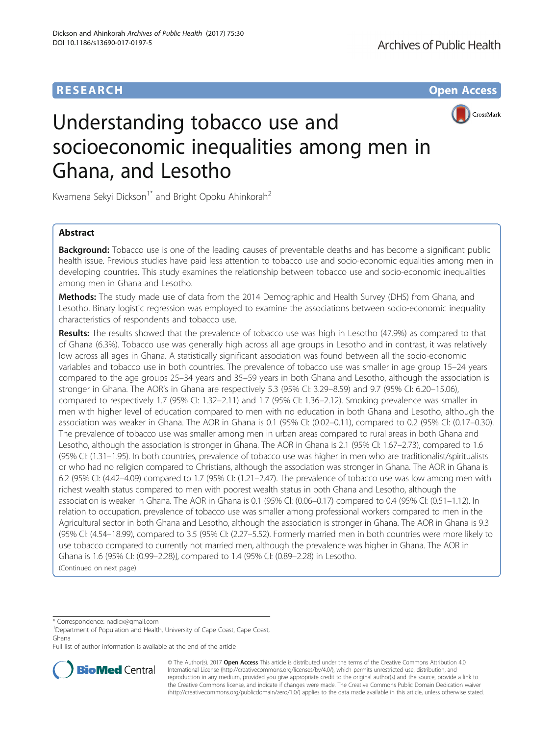

# Understanding tobacco use and socioeconomic inequalities among men in Ghana, and Lesotho

Kwamena Sekyi Dickson<sup>1\*</sup> and Bright Opoku Ahinkorah<sup>2</sup>

# Abstract

**Background:** Tobacco use is one of the leading causes of preventable deaths and has become a significant public health issue. Previous studies have paid less attention to tobacco use and socio-economic equalities among men in developing countries. This study examines the relationship between tobacco use and socio-economic inequalities among men in Ghana and Lesotho.

Methods: The study made use of data from the 2014 Demographic and Health Survey (DHS) from Ghana, and Lesotho. Binary logistic regression was employed to examine the associations between socio-economic inequality characteristics of respondents and tobacco use.

Results: The results showed that the prevalence of tobacco use was high in Lesotho (47.9%) as compared to that of Ghana (6.3%). Tobacco use was generally high across all age groups in Lesotho and in contrast, it was relatively low across all ages in Ghana. A statistically significant association was found between all the socio-economic variables and tobacco use in both countries. The prevalence of tobacco use was smaller in age group 15–24 years compared to the age groups 25–34 years and 35–59 years in both Ghana and Lesotho, although the association is stronger in Ghana. The AOR's in Ghana are respectively 5.3 (95% CI: 3.29–8.59) and 9.7 (95% CI: 6.20–15.06), compared to respectively 1.7 (95% CI: 1.32–2.11) and 1.7 (95% CI: 1.36–2.12). Smoking prevalence was smaller in men with higher level of education compared to men with no education in both Ghana and Lesotho, although the association was weaker in Ghana. The AOR in Ghana is 0.1 (95% CI: (0.02–0.11), compared to 0.2 (95% Cl: (0.17–0.30). The prevalence of tobacco use was smaller among men in urban areas compared to rural areas in both Ghana and Lesotho, although the association is stronger in Ghana. The AOR in Ghana is 2.1 (95% CI: 1.67–2.73), compared to 1.6 (95% CI: (1.31–1.95). In both countries, prevalence of tobacco use was higher in men who are traditionalist/spiritualists or who had no religion compared to Christians, although the association was stronger in Ghana. The AOR in Ghana is 6.2 (95% CI: (4.42–4.09) compared to 1.7 (95% CI: (1.21–2.47). The prevalence of tobacco use was low among men with richest wealth status compared to men with poorest wealth status in both Ghana and Lesotho, although the association is weaker in Ghana. The AOR in Ghana is 0.1 (95% Cl: (0.06–0.17) compared to 0.4 (95% CI: (0.51–1.12). In relation to occupation, prevalence of tobacco use was smaller among professional workers compared to men in the Agricultural sector in both Ghana and Lesotho, although the association is stronger in Ghana. The AOR in Ghana is 9.3 (95% Cl: (4.54–18.99), compared to 3.5 (95% CI: (2.27–5.52). Formerly married men in both countries were more likely to use tobacco compared to currently not married men, although the prevalence was higher in Ghana. The AOR in Ghana is 1.6 (95% CI: (0.99–2.28)], compared to 1.4 (95% CI: (0.89–2.28) in Lesotho. (Continued on next page)

\* Correspondence: [nadicx@gmail.com](mailto:nadicx@gmail.com) <sup>1</sup>

<sup>1</sup>Department of Population and Health, University of Cape Coast, Cape Coast, Ghana

Full list of author information is available at the end of the article



© The Author(s). 2017 **Open Access** This article is distributed under the terms of the Creative Commons Attribution 4.0 International License [\(http://creativecommons.org/licenses/by/4.0/](http://creativecommons.org/licenses/by/4.0/)), which permits unrestricted use, distribution, and reproduction in any medium, provided you give appropriate credit to the original author(s) and the source, provide a link to the Creative Commons license, and indicate if changes were made. The Creative Commons Public Domain Dedication waiver [\(http://creativecommons.org/publicdomain/zero/1.0/](http://creativecommons.org/publicdomain/zero/1.0/)) applies to the data made available in this article, unless otherwise stated.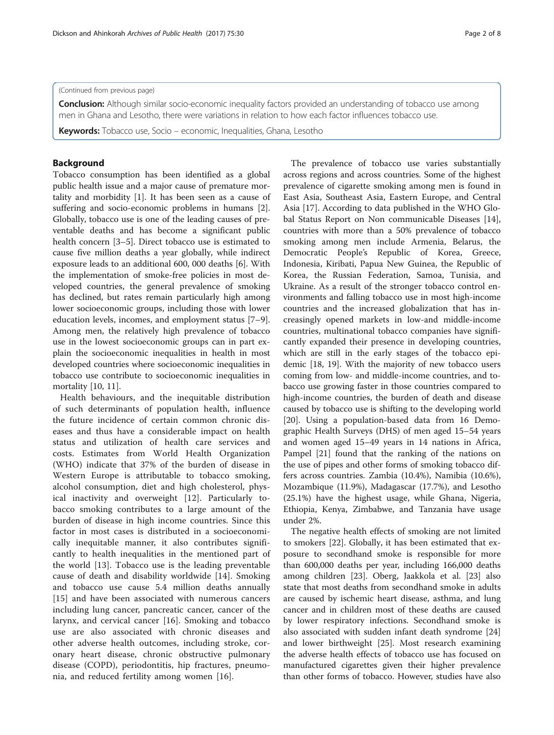## (Continued from previous page)

Conclusion: Although similar socio-economic inequality factors provided an understanding of tobacco use among men in Ghana and Lesotho, there were variations in relation to how each factor influences tobacco use.

Keywords: Tobacco use, Socio – economic, Inequalities, Ghana, Lesotho

## Background

Tobacco consumption has been identified as a global public health issue and a major cause of premature mortality and morbidity [\[1](#page-6-0)]. It has been seen as a cause of suffering and socio-economic problems in humans [\[2](#page-6-0)]. Globally, tobacco use is one of the leading causes of preventable deaths and has become a significant public health concern [[3](#page-6-0)–[5](#page-6-0)]. Direct tobacco use is estimated to cause five million deaths a year globally, while indirect exposure leads to an additional 600, 000 deaths [\[6](#page-6-0)]. With the implementation of smoke-free policies in most developed countries, the general prevalence of smoking has declined, but rates remain particularly high among lower socioeconomic groups, including those with lower education levels, incomes, and employment status [\[7](#page-6-0)–[9](#page-6-0)]. Among men, the relatively high prevalence of tobacco use in the lowest socioeconomic groups can in part explain the socioeconomic inequalities in health in most developed countries where socioeconomic inequalities in tobacco use contribute to socioeconomic inequalities in mortality [[10, 11\]](#page-6-0).

Health behaviours, and the inequitable distribution of such determinants of population health, influence the future incidence of certain common chronic diseases and thus have a considerable impact on health status and utilization of health care services and costs. Estimates from World Health Organization (WHO) indicate that 37% of the burden of disease in Western Europe is attributable to tobacco smoking, alcohol consumption, diet and high cholesterol, physical inactivity and overweight [\[12](#page-6-0)]. Particularly tobacco smoking contributes to a large amount of the burden of disease in high income countries. Since this factor in most cases is distributed in a socioeconomically inequitable manner, it also contributes significantly to health inequalities in the mentioned part of the world [[13\]](#page-6-0). Tobacco use is the leading preventable cause of death and disability worldwide [\[14](#page-7-0)]. Smoking and tobacco use cause 5.4 million deaths annually [[15\]](#page-7-0) and have been associated with numerous cancers including lung cancer, pancreatic cancer, cancer of the larynx, and cervical cancer [[16\]](#page-7-0). Smoking and tobacco use are also associated with chronic diseases and other adverse health outcomes, including stroke, coronary heart disease, chronic obstructive pulmonary disease (COPD), periodontitis, hip fractures, pneumonia, and reduced fertility among women [[16\]](#page-7-0).

The prevalence of tobacco use varies substantially across regions and across countries. Some of the highest prevalence of cigarette smoking among men is found in East Asia, Southeast Asia, Eastern Europe, and Central Asia [[17](#page-7-0)]. According to data published in the WHO Global Status Report on Non communicable Diseases [\[14](#page-7-0)], countries with more than a 50% prevalence of tobacco smoking among men include Armenia, Belarus, the Democratic People's Republic of Korea, Greece, Indonesia, Kiribati, Papua New Guinea, the Republic of Korea, the Russian Federation, Samoa, Tunisia, and Ukraine. As a result of the stronger tobacco control environments and falling tobacco use in most high-income countries and the increased globalization that has increasingly opened markets in low-and middle-income countries, multinational tobacco companies have significantly expanded their presence in developing countries, which are still in the early stages of the tobacco epidemic [\[18](#page-7-0), [19\]](#page-7-0). With the majority of new tobacco users coming from low- and middle-income countries, and tobacco use growing faster in those countries compared to high-income countries, the burden of death and disease caused by tobacco use is shifting to the developing world [[20\]](#page-7-0). Using a population-based data from 16 Demographic Health Surveys (DHS) of men aged 15–54 years and women aged 15–49 years in 14 nations in Africa, Pampel [[21\]](#page-7-0) found that the ranking of the nations on the use of pipes and other forms of smoking tobacco differs across countries. Zambia (10.4%), Namibia (10.6%), Mozambique (11.9%), Madagascar (17.7%), and Lesotho (25.1%) have the highest usage, while Ghana, Nigeria, Ethiopia, Kenya, Zimbabwe, and Tanzania have usage under 2%.

The negative health effects of smoking are not limited to smokers [[22\]](#page-7-0). Globally, it has been estimated that exposure to secondhand smoke is responsible for more than 600,000 deaths per year, including 166,000 deaths among children [\[23](#page-7-0)]. Oberg, Jaakkola et al. [\[23](#page-7-0)] also state that most deaths from secondhand smoke in adults are caused by ischemic heart disease, asthma, and lung cancer and in children most of these deaths are caused by lower respiratory infections. Secondhand smoke is also associated with sudden infant death syndrome [[24](#page-7-0)] and lower birthweight [\[25\]](#page-7-0). Most research examining the adverse health effects of tobacco use has focused on manufactured cigarettes given their higher prevalence than other forms of tobacco. However, studies have also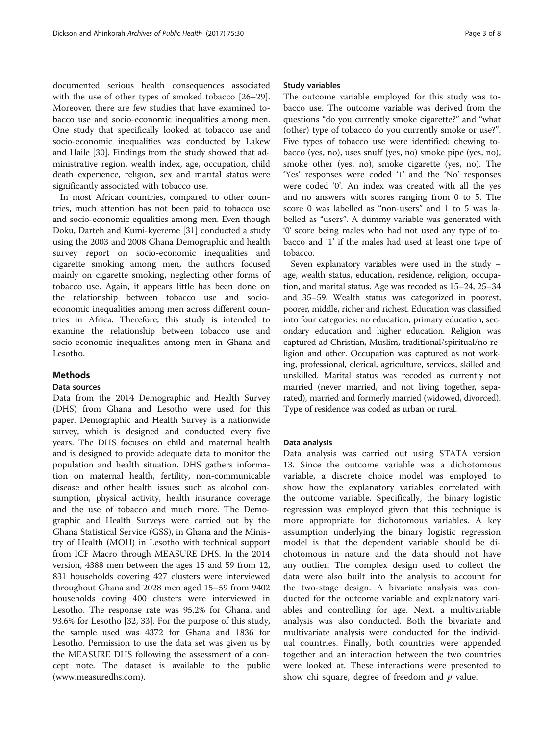documented serious health consequences associated with the use of other types of smoked tobacco [[26](#page-7-0)–[29](#page-7-0)]. Moreover, there are few studies that have examined tobacco use and socio-economic inequalities among men. One study that specifically looked at tobacco use and socio-economic inequalities was conducted by Lakew and Haile [[30\]](#page-7-0). Findings from the study showed that administrative region, wealth index, age, occupation, child death experience, religion, sex and marital status were significantly associated with tobacco use.

In most African countries, compared to other countries, much attention has not been paid to tobacco use and socio-economic equalities among men. Even though Doku, Darteh and Kumi-kyereme [[31\]](#page-7-0) conducted a study using the 2003 and 2008 Ghana Demographic and health survey report on socio-economic inequalities and cigarette smoking among men, the authors focused mainly on cigarette smoking, neglecting other forms of tobacco use. Again, it appears little has been done on the relationship between tobacco use and socioeconomic inequalities among men across different countries in Africa. Therefore, this study is intended to examine the relationship between tobacco use and socio-economic inequalities among men in Ghana and Lesotho.

# Methods

## Data sources

Data from the 2014 Demographic and Health Survey (DHS) from Ghana and Lesotho were used for this paper. Demographic and Health Survey is a nationwide survey, which is designed and conducted every five years. The DHS focuses on child and maternal health and is designed to provide adequate data to monitor the population and health situation. DHS gathers information on maternal health, fertility, non-communicable disease and other health issues such as alcohol consumption, physical activity, health insurance coverage and the use of tobacco and much more. The Demographic and Health Surveys were carried out by the Ghana Statistical Service (GSS), in Ghana and the Ministry of Health (MOH) in Lesotho with technical support from ICF Macro through MEASURE DHS. In the 2014 version, 4388 men between the ages 15 and 59 from 12, 831 households covering 427 clusters were interviewed throughout Ghana and 2028 men aged 15–59 from 9402 households coving 400 clusters were interviewed in Lesotho. The response rate was 95.2% for Ghana, and 93.6% for Lesotho [[32](#page-7-0), [33](#page-7-0)]. For the purpose of this study, the sample used was 4372 for Ghana and 1836 for Lesotho. Permission to use the data set was given us by the MEASURE DHS following the assessment of a concept note. The dataset is available to the public ([www.measuredhs.com\)](http://www.measuredhs.com/).

## Study variables

The outcome variable employed for this study was tobacco use. The outcome variable was derived from the questions "do you currently smoke cigarette?" and "what (other) type of tobacco do you currently smoke or use?". Five types of tobacco use were identified: chewing tobacco (yes, no), uses snuff (yes, no) smoke pipe (yes, no), smoke other (yes, no), smoke cigarette (yes, no). The 'Yes' responses were coded '1' and the 'No' responses were coded '0'. An index was created with all the yes and no answers with scores ranging from 0 to 5. The score 0 was labelled as "non-users" and 1 to 5 was labelled as "users". A dummy variable was generated with '0' score being males who had not used any type of tobacco and '1' if the males had used at least one type of tobacco.

Seven explanatory variables were used in the study – age, wealth status, education, residence, religion, occupation, and marital status. Age was recoded as 15–24, 25–34 and 35–59. Wealth status was categorized in poorest, poorer, middle, richer and richest. Education was classified into four categories: no education, primary education, secondary education and higher education. Religion was captured ad Christian, Muslim, traditional/spiritual/no religion and other. Occupation was captured as not working, professional, clerical, agriculture, services, skilled and unskilled. Marital status was recoded as currently not married (never married, and not living together, separated), married and formerly married (widowed, divorced). Type of residence was coded as urban or rural.

## Data analysis

Data analysis was carried out using STATA version 13. Since the outcome variable was a dichotomous variable, a discrete choice model was employed to show how the explanatory variables correlated with the outcome variable. Specifically, the binary logistic regression was employed given that this technique is more appropriate for dichotomous variables. A key assumption underlying the binary logistic regression model is that the dependent variable should be dichotomous in nature and the data should not have any outlier. The complex design used to collect the data were also built into the analysis to account for the two-stage design. A bivariate analysis was conducted for the outcome variable and explanatory variables and controlling for age. Next, a multivariable analysis was also conducted. Both the bivariate and multivariate analysis were conducted for the individual countries. Finally, both countries were appended together and an interaction between the two countries were looked at. These interactions were presented to show chi square, degree of freedom and  $p$  value.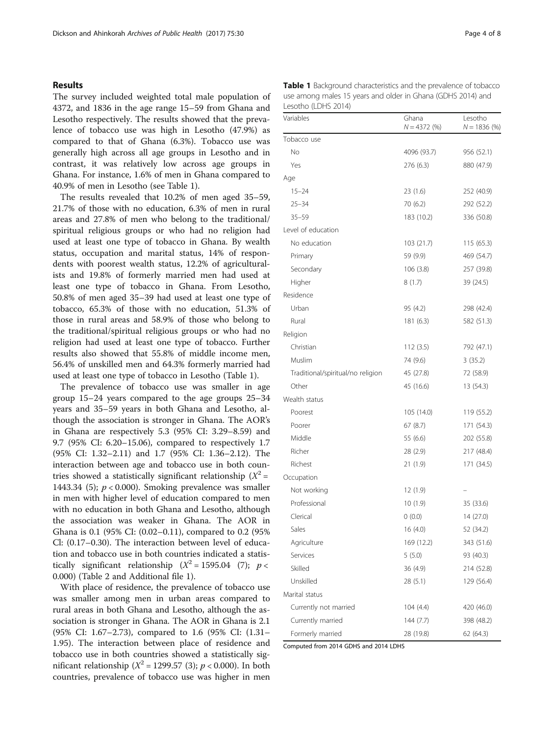## Results

The survey included weighted total male population of 4372, and 1836 in the age range 15–59 from Ghana and Lesotho respectively. The results showed that the prevalence of tobacco use was high in Lesotho (47.9%) as compared to that of Ghana (6.3%). Tobacco use was generally high across all age groups in Lesotho and in contrast, it was relatively low across age groups in Ghana. For instance, 1.6% of men in Ghana compared to 40.9% of men in Lesotho (see Table 1).

The results revealed that 10.2% of men aged 35–59, 21.7% of those with no education, 6.3% of men in rural areas and 27.8% of men who belong to the traditional/ spiritual religious groups or who had no religion had used at least one type of tobacco in Ghana. By wealth status, occupation and marital status, 14% of respondents with poorest wealth status, 12.2% of agriculturalists and 19.8% of formerly married men had used at least one type of tobacco in Ghana. From Lesotho, 50.8% of men aged 35–39 had used at least one type of tobacco, 65.3% of those with no education, 51.3% of those in rural areas and 58.9% of those who belong to the traditional/spiritual religious groups or who had no religion had used at least one type of tobacco. Further results also showed that 55.8% of middle income men, 56.4% of unskilled men and 64.3% formerly married had used at least one type of tobacco in Lesotho (Table 1).

The prevalence of tobacco use was smaller in age group 15–24 years compared to the age groups 25–34 years and 35–59 years in both Ghana and Lesotho, although the association is stronger in Ghana. The AOR's in Ghana are respectively 5.3 (95% CI: 3.29–8.59) and 9.7 (95% CI: 6.20–15.06), compared to respectively 1.7 (95% CI: 1.32–2.11) and 1.7 (95% CI: 1.36–2.12). The interaction between age and tobacco use in both countries showed a statistically significant relationship  $(X^2 =$ 1443.34 (5);  $p < 0.000$ ). Smoking prevalence was smaller in men with higher level of education compared to men with no education in both Ghana and Lesotho, although the association was weaker in Ghana. The AOR in Ghana is 0.1 (95% CI: (0.02–0.11), compared to 0.2 (95% Cl: (0.17–0.30). The interaction between level of education and tobacco use in both countries indicated a statistically significant relationship  $(X^2 = 1595.04$  (7);  $p <$ 0.000) (Table [2](#page-4-0) and Additional file [1](#page-6-0)).

With place of residence, the prevalence of tobacco use was smaller among men in urban areas compared to rural areas in both Ghana and Lesotho, although the association is stronger in Ghana. The AOR in Ghana is 2.1 (95% CI: 1.67–2.73), compared to 1.6 (95% CI: (1.31– 1.95). The interaction between place of residence and tobacco use in both countries showed a statistically significant relationship ( $X^2 = 1299.57$  (3);  $p < 0.000$ ). In both countries, prevalence of tobacco use was higher in men

| <b>Table 1</b> Background characteristics and the prevalence of tobacco            |                         |                          |  |  |
|------------------------------------------------------------------------------------|-------------------------|--------------------------|--|--|
| use among males 15 years and older in Ghana (GDHS 2014) and<br>Lesotho (LDHS 2014) |                         |                          |  |  |
| Variables                                                                          | Ghana<br>$N = 4372(96)$ | Lesotho<br>$N = 1836(%)$ |  |  |

|                                   | $N = 4372(%)$ | $N = 1836$ (%) |
|-----------------------------------|---------------|----------------|
| Tobacco use                       |               |                |
| No                                | 4096 (93.7)   | 956 (52.1)     |
| Yes                               | 276 (6.3)     | 880 (47.9)     |
| Age                               |               |                |
| $15 - 24$                         | 23(1.6)       | 252 (40.9)     |
| $25 - 34$                         | 70 (6.2)      | 292 (52.2)     |
| $35 - 59$                         | 183 (10.2)    | 336 (50.8)     |
| Level of education                |               |                |
| No education                      | 103(21.7)     | 115 (65.3)     |
| Primary                           | 59 (9.9)      | 469 (54.7)     |
| Secondary                         | 106(3.8)      | 257 (39.8)     |
| Higher                            | 8(1.7)        | 39 (24.5)      |
| Residence                         |               |                |
| Urban                             | 95 (4.2)      | 298 (42.4)     |
| Rural                             | 181 (6.3)     | 582 (51.3)     |
| Religion                          |               |                |
| Christian                         | 112(3.5)      | 792 (47.1)     |
| Muslim                            | 74 (9.6)      | 3(35.2)        |
| Traditional/spiritual/no religion | 45 (27.8)     | 72 (58.9)      |
| Other                             | 45 (16.6)     | 13 (54.3)      |
| Wealth status                     |               |                |
| Poorest                           | 105 (14.0)    | 119 (55.2)     |
| Poorer                            | 67(8.7)       | 171 (54.3)     |
| Middle                            | 55 (6.6)      | 202 (55.8)     |
| Richer                            | 28 (2.9)      | 217 (48.4)     |
| Richest                           | 21(1.9)       | 171 (34.5)     |
| Occupation                        |               |                |
| Not working                       | 12(1.9)       |                |
| Professional                      | 10(1.9)       | 35 (33.6)      |
| Clerical                          | 0(0.0)        | 14 (27.0)      |
| Sales                             | 16(4.0)       | 52 (34.2)      |
| Agriculture                       | 169 (12.2)    | 343 (51.6)     |
| Services                          | 5(5.0)        | 93 (40.3)      |
| Skilled                           | 36 (4.9)      | 214 (52.8)     |
| Unskilled                         | 28(5.1)       | 129 (56.4)     |
| Marital status                    |               |                |
| Currently not married             | 104(4.4)      | 420 (46.0)     |
| Currently married                 | 144(7.7)      | 398 (48.2)     |
| Formerly married                  | 28 (19.8)     | 62 (64.3)      |

Computed from 2014 GDHS and 2014 LDHS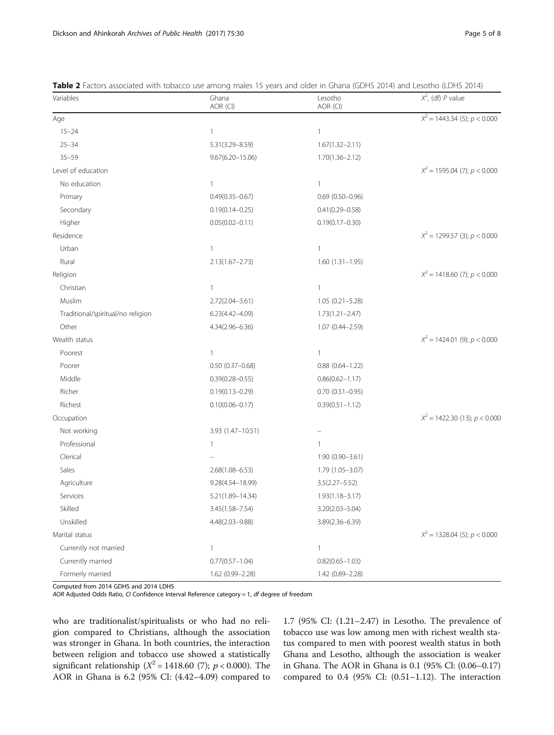| Variables                         | Ghana<br>AOR (CI)    | Lesotho<br>AOR (CI)    | $X^2$ , (df) P value              |
|-----------------------------------|----------------------|------------------------|-----------------------------------|
| Age                               |                      |                        | $X^2 = 1443.34$ (5); $p < 0.000$  |
| $15 - 24$                         | $\mathbf{1}$         | $\mathbf{1}$           |                                   |
| $25 - 34$                         | 5.31(3.29-8.59)      | $1.67(1.32 - 2.11)$    |                                   |
| $35 - 59$                         | $9.67(6.20 - 15.06)$ | $1.70(1.36 - 2.12)$    |                                   |
| Level of education                |                      |                        | $X^2 = 1595.04$ (7); $p < 0.000$  |
| No education                      | $\mathbf{1}$         | $\mathbf{1}$           |                                   |
| Primary                           | $0.49(0.35 - 0.67)$  | $0.69$ $(0.50 - 0.96)$ |                                   |
| Secondary                         | $0.19(0.14 - 0.25)$  | $0.41(0.29 - 0.58)$    |                                   |
| Higher                            | $0.05(0.02 - 0.11)$  | $0.19(0.17 - 0.30)$    |                                   |
| Residence                         |                      |                        | $X^2$ = 1299.57 (3); $p < 0.000$  |
| Urban                             | $\mathbf{1}$         | $\mathbf{1}$           |                                   |
| Rural                             | $2.13(1.67 - 2.73)$  | $1.60(1.31-1.95)$      |                                   |
| Religion                          |                      |                        | $X^2$ = 1418.60 (7); $p < 0.000$  |
| Christian                         | $\mathbf{1}$         | $\mathbf{1}$           |                                   |
| Muslim                            | $2.72(2.04 - 3.61)$  | $1.05(0.21 - 5.28)$    |                                   |
| Traditional/spiritual/no religion | $6.23(4.42 - 4.09)$  | $1.73(1.21 - 2.47)$    |                                   |
| Other                             | 4.34(2.96-6.36)      | 1.07 (0.44-2.59)       |                                   |
| Wealth status                     |                      |                        | $X^2 = 1424.01$ (9); $p < 0.000$  |
| Poorest                           | $\mathbf{1}$         | $\mathbf{1}$           |                                   |
| Poorer                            | $0.50(0.37 - 0.68)$  | $0.88$ $(0.64 - 1.22)$ |                                   |
| Middle                            | $0.39(0.28 - 0.55)$  | $0.86(0.62 - 1.17)$    |                                   |
| Richer                            | $0.19(0.13 - 0.29)$  | $0.70(0.51 - 0.95)$    |                                   |
| Richest                           | $0.10(0.06 - 0.17)$  | $0.39(0.51 - 1.12)$    |                                   |
| Occupation                        |                      |                        | $X^2$ = 1422.30 (13); $p < 0.000$ |
| Not working                       | 3.93 (1.47-10.51)    |                        |                                   |
| Professional                      | $\mathbf{1}$         | $\mathbf{1}$           |                                   |
| Clerical                          |                      | 1.90 (0.90-3.61)       |                                   |
| Sales                             | $2.68(1.08 - 6.53)$  | 1.79 (1.05-3.07)       |                                   |
| Agriculture                       | 9.28(4.54-18.99)     | $3.5(2.27 - 5.52)$     |                                   |
| Services                          | 5.21(1.89-14.34)     | $1.93(1.18 - 3.17)$    |                                   |
| Skilled                           | $3.45(1.58 - 7.54)$  | $3.20(2.03 - 5.04)$    |                                   |
| Unskilled                         | 4.48(2.03-9.88)      | 3.89(2.36-6.39)        |                                   |
| Marital status                    |                      |                        | $X^2 = 1328.04$ (5); $p < 0.000$  |
| Currently not married             | $\mathbf{1}$         | $\mathbf{1}$           |                                   |
| Currently married                 | $0.77(0.57 - 1.04)$  | $0.82(0.65 - 1.03)$    |                                   |
| Formerly married                  | 1.62 (0.99-2.28)     | 1.42 (0.89-2.28)       |                                   |

<span id="page-4-0"></span>Table 2 Factors associated with tobacco use among males 15 years and older in Ghana (GDHS 2014) and Lesotho (LDHS 2014)

Computed from 2014 GDHS and 2014 LDHS

AOR Adjusted Odds Ratio, CI Confidence Interval Reference category = 1, df degree of freedom

who are traditionalist/spiritualists or who had no religion compared to Christians, although the association was stronger in Ghana. In both countries, the interaction between religion and tobacco use showed a statistically significant relationship ( $X^2 = 1418.60$  (7);  $p < 0.000$ ). The AOR in Ghana is 6.2 (95% CI: (4.42–4.09) compared to

1.7 (95% CI: (1.21–2.47) in Lesotho. The prevalence of tobacco use was low among men with richest wealth status compared to men with poorest wealth status in both Ghana and Lesotho, although the association is weaker in Ghana. The AOR in Ghana is 0.1 (95% Cl: (0.06–0.17) compared to  $0.4$  (95% CI:  $(0.51-1.12)$ . The interaction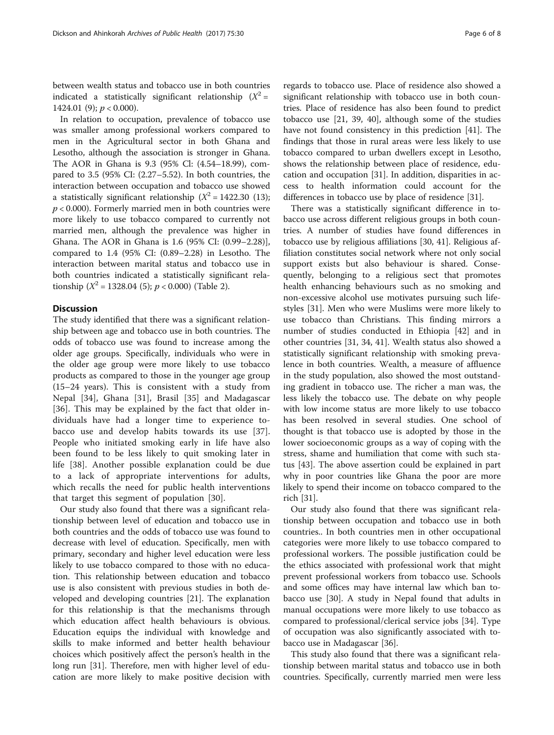between wealth status and tobacco use in both countries indicated a statistically significant relationship  $(X^2 =$ 1424.01 (9);  $p < 0.000$ ).

In relation to occupation, prevalence of tobacco use was smaller among professional workers compared to men in the Agricultural sector in both Ghana and Lesotho, although the association is stronger in Ghana. The AOR in Ghana is 9.3 (95% Cl: (4.54–18.99), compared to 3.5 (95% CI: (2.27–5.52). In both countries, the interaction between occupation and tobacco use showed a statistically significant relationship  $(X^2 = 1422.30 \text{ (13)});$  $p < 0.000$ ). Formerly married men in both countries were more likely to use tobacco compared to currently not married men, although the prevalence was higher in Ghana. The AOR in Ghana is 1.6 (95% CI: (0.99–2.28)], compared to 1.4 (95% CI: (0.89–2.28) in Lesotho. The interaction between marital status and tobacco use in both countries indicated a statistically significant relationship ( $X^2 = 1328.04$  (5);  $p < 0.000$ ) (Table [2\)](#page-4-0).

## **Discussion**

The study identified that there was a significant relationship between age and tobacco use in both countries. The odds of tobacco use was found to increase among the older age groups. Specifically, individuals who were in the older age group were more likely to use tobacco products as compared to those in the younger age group (15–24 years). This is consistent with a study from Nepal [\[34](#page-7-0)], Ghana [[31\]](#page-7-0), Brasil [\[35](#page-7-0)] and Madagascar [[36\]](#page-7-0). This may be explained by the fact that older individuals have had a longer time to experience tobacco use and develop habits towards its use [[37](#page-7-0)]. People who initiated smoking early in life have also been found to be less likely to quit smoking later in life [\[38](#page-7-0)]. Another possible explanation could be due to a lack of appropriate interventions for adults, which recalls the need for public health interventions that target this segment of population [[30\]](#page-7-0).

Our study also found that there was a significant relationship between level of education and tobacco use in both countries and the odds of tobacco use was found to decrease with level of education. Specifically, men with primary, secondary and higher level education were less likely to use tobacco compared to those with no education. This relationship between education and tobacco use is also consistent with previous studies in both developed and developing countries [[21\]](#page-7-0). The explanation for this relationship is that the mechanisms through which education affect health behaviours is obvious. Education equips the individual with knowledge and skills to make informed and better health behaviour choices which positively affect the person's health in the long run [[31](#page-7-0)]. Therefore, men with higher level of education are more likely to make positive decision with

regards to tobacco use. Place of residence also showed a significant relationship with tobacco use in both countries. Place of residence has also been found to predict tobacco use [[21, 39](#page-7-0), [40\]](#page-7-0), although some of the studies have not found consistency in this prediction [\[41](#page-7-0)]. The findings that those in rural areas were less likely to use tobacco compared to urban dwellers except in Lesotho, shows the relationship between place of residence, education and occupation [\[31\]](#page-7-0). In addition, disparities in access to health information could account for the differences in tobacco use by place of residence [\[31](#page-7-0)].

There was a statistically significant difference in tobacco use across different religious groups in both countries. A number of studies have found differences in tobacco use by religious affiliations [[30](#page-7-0), [41](#page-7-0)]. Religious affiliation constitutes social network where not only social support exists but also behaviour is shared. Consequently, belonging to a religious sect that promotes health enhancing behaviours such as no smoking and non-excessive alcohol use motivates pursuing such lifestyles [[31](#page-7-0)]. Men who were Muslims were more likely to use tobacco than Christians. This finding mirrors a number of studies conducted in Ethiopia [\[42\]](#page-7-0) and in other countries [[31](#page-7-0), [34](#page-7-0), [41\]](#page-7-0). Wealth status also showed a statistically significant relationship with smoking prevalence in both countries. Wealth, a measure of affluence in the study population, also showed the most outstanding gradient in tobacco use. The richer a man was, the less likely the tobacco use. The debate on why people with low income status are more likely to use tobacco has been resolved in several studies. One school of thought is that tobacco use is adopted by those in the lower socioeconomic groups as a way of coping with the stress, shame and humiliation that come with such status [[43\]](#page-7-0). The above assertion could be explained in part why in poor countries like Ghana the poor are more likely to spend their income on tobacco compared to the rich [[31\]](#page-7-0).

Our study also found that there was significant relationship between occupation and tobacco use in both countries.. In both countries men in other occupational categories were more likely to use tobacco compared to professional workers. The possible justification could be the ethics associated with professional work that might prevent professional workers from tobacco use. Schools and some offices may have internal law which ban tobacco use [[30\]](#page-7-0). A study in Nepal found that adults in manual occupations were more likely to use tobacco as compared to professional/clerical service jobs [[34](#page-7-0)]. Type of occupation was also significantly associated with tobacco use in Madagascar [\[36\]](#page-7-0).

This study also found that there was a significant relationship between marital status and tobacco use in both countries. Specifically, currently married men were less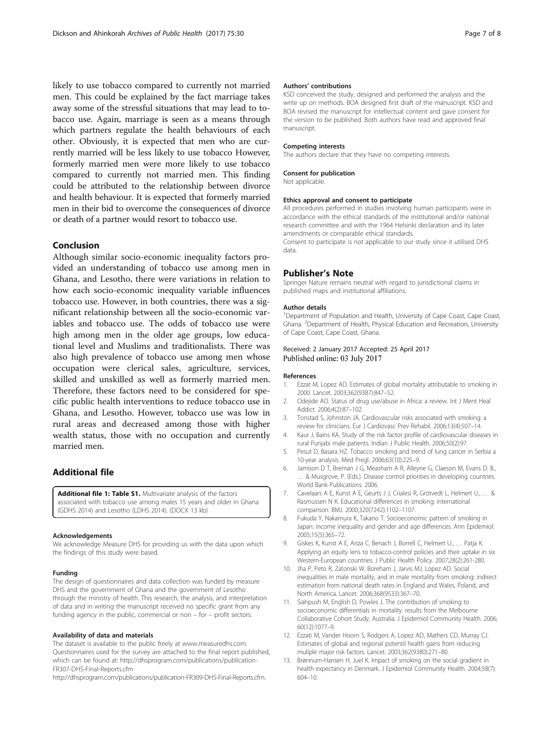<span id="page-6-0"></span>likely to use tobacco compared to currently not married men. This could be explained by the fact marriage takes away some of the stressful situations that may lead to tobacco use. Again, marriage is seen as a means through which partners regulate the health behaviours of each other. Obviously, it is expected that men who are currently married will be less likely to use tobacco However, formerly married men were more likely to use tobacco compared to currently not married men. This finding could be attributed to the relationship between divorce and health behaviour. It is expected that formerly married men in their bid to overcome the consequences of divorce or death of a partner would resort to tobacco use.

## Conclusion

Although similar socio-economic inequality factors provided an understanding of tobacco use among men in Ghana, and Lesotho, there were variations in relation to how each socio-economic inequality variable influences tobacco use. However, in both countries, there was a significant relationship between all the socio-economic variables and tobacco use. The odds of tobacco use were high among men in the older age groups, low educational level and Muslims and traditionalists. There was also high prevalence of tobacco use among men whose occupation were clerical sales, agriculture, services, skilled and unskilled as well as formerly married men. Therefore, these factors need to be considered for specific public health interventions to reduce tobacco use in Ghana, and Lesotho. However, tobacco use was low in rural areas and decreased among those with higher wealth status, those with no occupation and currently married men.

# Additional file

[Additional file 1: Table S1.](dx.doi.org/10.1186/s13690-017-0197-5) Multivariate analysis of the factors associated with tobacco use among males 15 years and older in Ghana (GDHS 2014) and Lesotho (LDHS 2014). (DOCX 13 kb)

#### Acknowledgements

We acknowledge Measure DHS for providing us with the data upon which the findings of this study were based.

### Funding

The design of questionnaires and data collection was funded by measure DHS and the government of Ghana and the government of Lesotho through the ministry of health. This research, the analysis, and interpretation of data and in writing the manuscript received no specific grant from any funding agency in the public, commercial or non – for – profit sectors.

#### Availability of data and materials

The dataset is available to the public freely at [www.measuredhs.com](http://www.measuredhs.com/). Questionnaires used for the survey are attached to the final report published, which can be found at: [http://dhsprogram.com/publications/publication-](http://dhsprogram.com/publications/publication-FR307-DHS-Final-Reports.cfm)[FR307-DHS-Final-Reports.cfm](http://dhsprogram.com/publications/publication-FR307-DHS-Final-Reports.cfm)

<http://dhsprogram.com/publications/publication-FR309-DHS-Final-Reports.cfm>.

## Authors' contributions

KSD conceived the study, designed and performed the analysis and the write up on methods. BOA designed first draft of the manuscript. KSD and BOA revised the manuscript for intellectual content and gave consent for the version to be published. Both authors have read and approved final manuscript.

### Competing interests

The authors declare that they have no competing interests.

#### Consent for publication

Not applicable.

#### Ethics approval and consent to participate

All procedures performed in studies involving human participants were in accordance with the ethical standards of the institutional and/or national research committee and with the 1964 Helsinki declaration and its later amendments or comparable ethical standards.

Consent to participate is not applicable to our study since it utilised DHS data.

#### Publisher's Note

Springer Nature remains neutral with regard to jurisdictional claims in published maps and institutional affiliations.

#### Author details

<sup>1</sup>Department of Population and Health, University of Cape Coast, Cape Coast, Ghana. <sup>2</sup> Department of Health, Physical Education and Recreation, University of Cape Coast, Cape Coast, Ghana.

## Received: 2 January 2017 Accepted: 25 April 2017 Published online: 03 July 2017

#### References

- 1. Ezzat M, Lopez AD. Estimates of global mortality attributable to smoking in 2000. Lancet. 2003;362(9387):847–52.
- 2. Odejide AO. Status of drug use/abuse in Africa: a review. Int J Ment Heal Addict. 2006;4(2):87–102.
- 3. Tonstad S, Johnston JA. Cardiovascular risks associated with smoking: a review for clinicians. Eur J Cardiovasc Prev Rehabil. 2006;13(4):507–14.
- 4. Kaur J, Bains KA. Study of the risk factor profile of cardiovascular diseases in rural Punjabi male patients. Indian J Public Health. 2006;50(2):97.
- 5. Pesut D, Basara HZ. Tobacco smoking and trend of lung cancer in Serbia a 10-year analysis. Med Pregl. 2006;63(10):225–9.
- 6. Jamison D T, Breman J G, Measham A R, Alleyne G, Claeson M, Evans D. B., … & Musgrove, P. (Eds.). Disease control priorities in developing countries. World Bank Publications. 2006.
- 7. Cavelaars A E, Kunst A E, Geurts J J, Crialesi R, Grötvedt L, Helmert U., … & Rasmussen N K. Educational differences in smoking: international comparison. BMJ. 2000;320(7242):1102–1107.
- 8. Fukuda Y, Nakamura K, Takano T. Socioeconomic pattern of smoking in Japan: income inequality and gender and age differences. Ann Epidemiol. 2005;15(5):365–72.
- Giskes K, Kunst A E, Ariza C, Benach J, Borrell C, Helmert U., ... Patja K. Applying an equity lens to tobacco-control policies and their uptake in six Western-European countries. J Public Health Policy. 2007;28(2):261-280.
- 10. Jha P, Peto R, Zatonski W, Boreham J, Jarvis MJ, Lopez AD. Social inequalities in male mortality, and in male mortality from smoking: indirect estimation from national death rates in England and Wales, Poland, and North America. Lancet. 2006;368(9533):367–70.
- 11. Siahpush M, English D, Powles J. The contribution of smoking to socioeconomic differentials in mortality: results from the Melbourne Collaborative Cohort Study, Australia. J Epidemiol Community Health. 2006; 60(12):1077–9.
- 12. Ezzati M, Vander Hoorn S, Rodgers A, Lopez AD, Mathers CD, Murray CJ. Estimates of global and regional potentil health gains from reducing muliple major risk factors. Lancet. 2003;362(9380):271–80.
- 13. Brønnum-Hansen H, Juel K. Impact of smoking on the social gradient in health expectancy in Denmark. J Epidemiol Community Health. 2004;58(7): 604–10.